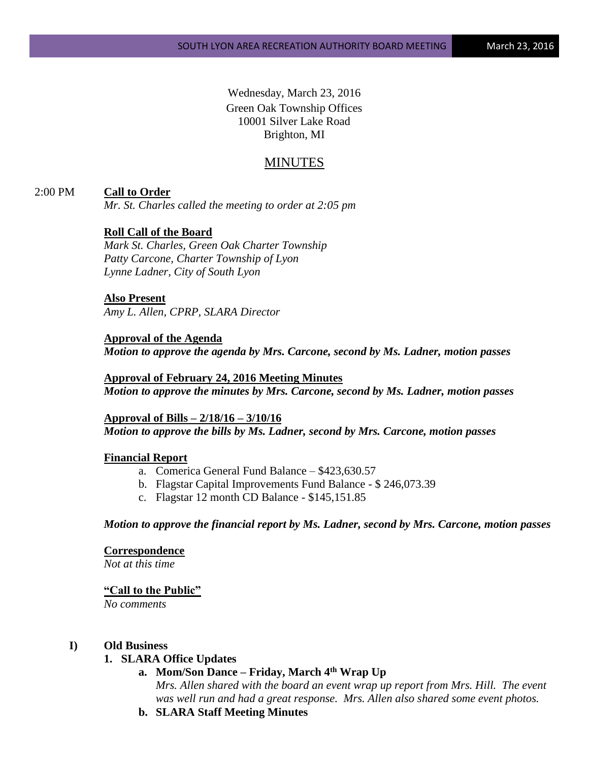Wednesday, March 23, 2016 Green Oak Township Offices 10001 Silver Lake Road Brighton, MI

# MINUTES

## 2:00 PM **Call to Order**

*Mr. St. Charles called the meeting to order at 2:05 pm*

## **Roll Call of the Board**

*Mark St. Charles, Green Oak Charter Township Patty Carcone, Charter Township of Lyon Lynne Ladner, City of South Lyon* 

#### **Also Present**

*Amy L. Allen, CPRP, SLARA Director*

**Approval of the Agenda** *Motion to approve the agenda by Mrs. Carcone, second by Ms. Ladner, motion passes*

**Approval of February 24, 2016 Meeting Minutes** *Motion to approve the minutes by Mrs. Carcone, second by Ms. Ladner, motion passes*

**Approval of Bills – 2/18/16 – 3/10/16** *Motion to approve the bills by Ms. Ladner, second by Mrs. Carcone, motion passes*

### **Financial Report**

- a. Comerica General Fund Balance \$423,630.57
- b. Flagstar Capital Improvements Fund Balance \$ 246,073.39
- c. Flagstar 12 month CD Balance \$145,151.85

*Motion to approve the financial report by Ms. Ladner, second by Mrs. Carcone, motion passes*

### **Correspondence**

*Not at this time*

#### **"Call to the Public"**

*No comments*

#### **I) Old Business**

## **1. SLARA Office Updates**

**a. Mom/Son Dance – Friday, March 4th Wrap Up**

*Mrs. Allen shared with the board an event wrap up report from Mrs. Hill. The event was well run and had a great response. Mrs. Allen also shared some event photos.*

**b. SLARA Staff Meeting Minutes**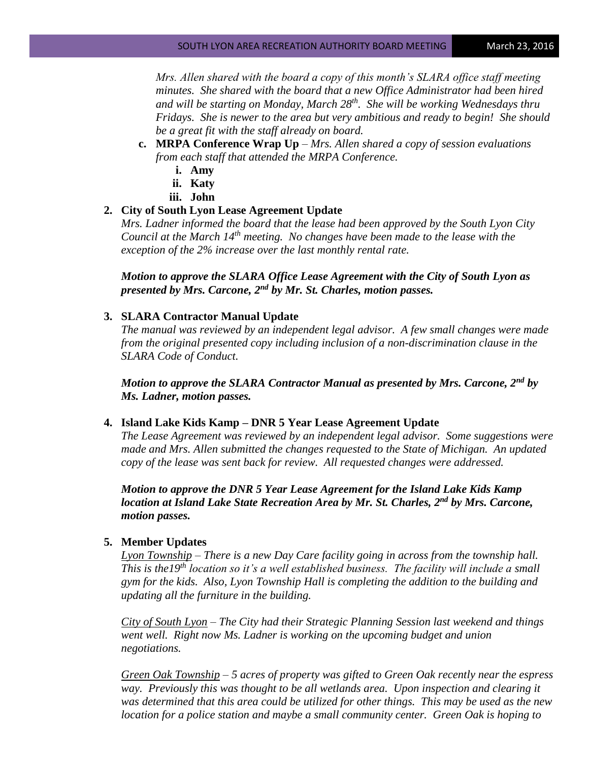*Mrs. Allen shared with the board a copy of this month's SLARA office staff meeting minutes. She shared with the board that a new Office Administrator had been hired and will be starting on Monday, March 28th. She will be working Wednesdays thru Fridays. She is newer to the area but very ambitious and ready to begin! She should be a great fit with the staff already on board.*

- **c. MRPA Conference Wrap Up** *– Mrs. Allen shared a copy of session evaluations from each staff that attended the MRPA Conference.*
	- **i. Amy**
	- **ii. Katy**
	- **iii. John**

## **2. City of South Lyon Lease Agreement Update**

*Mrs. Ladner informed the board that the lease had been approved by the South Lyon City Council at the March 14th meeting. No changes have been made to the lease with the exception of the 2% increase over the last monthly rental rate.*

*Motion to approve the SLARA Office Lease Agreement with the City of South Lyon as presented by Mrs. Carcone, 2nd by Mr. St. Charles, motion passes.*

## **3. SLARA Contractor Manual Update**

*The manual was reviewed by an independent legal advisor. A few small changes were made from the original presented copy including inclusion of a non-discrimination clause in the SLARA Code of Conduct.* 

*Motion to approve the SLARA Contractor Manual as presented by Mrs. Carcone, 2nd by Ms. Ladner, motion passes.*

### **4. Island Lake Kids Kamp – DNR 5 Year Lease Agreement Update**

*The Lease Agreement was reviewed by an independent legal advisor. Some suggestions were made and Mrs. Allen submitted the changes requested to the State of Michigan. An updated copy of the lease was sent back for review. All requested changes were addressed.*

*Motion to approve the DNR 5 Year Lease Agreement for the Island Lake Kids Kamp location at Island Lake State Recreation Area by Mr. St. Charles, 2nd by Mrs. Carcone, motion passes.*

## **5. Member Updates**

*Lyon Township – There is a new Day Care facility going in across from the township hall. This is the19th location so it's a well established business. The facility will include a small gym for the kids. Also, Lyon Township Hall is completing the addition to the building and updating all the furniture in the building.*

*City of South Lyon – The City had their Strategic Planning Session last weekend and things went well. Right now Ms. Ladner is working on the upcoming budget and union negotiations.*

*Green Oak Township – 5 acres of property was gifted to Green Oak recently near the espress way. Previously this was thought to be all wetlands area. Upon inspection and clearing it was determined that this area could be utilized for other things. This may be used as the new location for a police station and maybe a small community center. Green Oak is hoping to*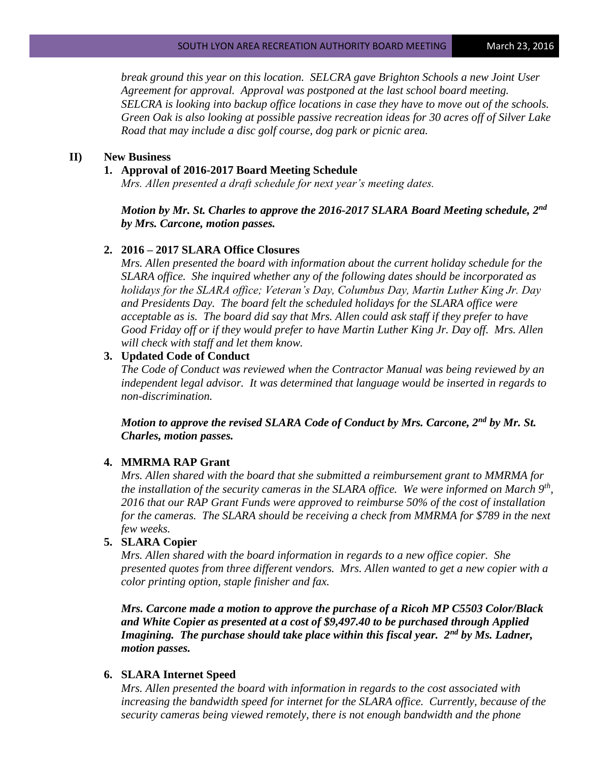*break ground this year on this location. SELCRA gave Brighton Schools a new Joint User Agreement for approval. Approval was postponed at the last school board meeting. SELCRA is looking into backup office locations in case they have to move out of the schools. Green Oak is also looking at possible passive recreation ideas for 30 acres off of Silver Lake Road that may include a disc golf course, dog park or picnic area.*

#### **II) New Business**

#### **1. Approval of 2016-2017 Board Meeting Schedule**

*Mrs. Allen presented a draft schedule for next year's meeting dates.* 

*Motion by Mr. St. Charles to approve the 2016-2017 SLARA Board Meeting schedule, 2nd by Mrs. Carcone, motion passes.*

## **2. 2016 – 2017 SLARA Office Closures**

*Mrs. Allen presented the board with information about the current holiday schedule for the SLARA office. She inquired whether any of the following dates should be incorporated as holidays for the SLARA office; Veteran's Day, Columbus Day, Martin Luther King Jr. Day and Presidents Day. The board felt the scheduled holidays for the SLARA office were acceptable as is. The board did say that Mrs. Allen could ask staff if they prefer to have Good Friday off or if they would prefer to have Martin Luther King Jr. Day off. Mrs. Allen will check with staff and let them know.*

#### **3. Updated Code of Conduct**

*The Code of Conduct was reviewed when the Contractor Manual was being reviewed by an independent legal advisor. It was determined that language would be inserted in regards to non-discrimination.* 

*Motion to approve the revised SLARA Code of Conduct by Mrs. Carcone, 2nd by Mr. St. Charles, motion passes.*

#### **4. MMRMA RAP Grant**

*Mrs. Allen shared with the board that she submitted a reimbursement grant to MMRMA for the installation of the security cameras in the SLARA office. We were informed on March 9th , 2016 that our RAP Grant Funds were approved to reimburse 50% of the cost of installation for the cameras. The SLARA should be receiving a check from MMRMA for \$789 in the next few weeks.*

## **5. SLARA Copier**

*Mrs. Allen shared with the board information in regards to a new office copier. She presented quotes from three different vendors. Mrs. Allen wanted to get a new copier with a color printing option, staple finisher and fax.* 

*Mrs. Carcone made a motion to approve the purchase of a Ricoh MP C5503 Color/Black and White Copier as presented at a cost of \$9,497.40 to be purchased through Applied Imagining. The purchase should take place within this fiscal year. 2nd by Ms. Ladner, motion passes.*

## **6. SLARA Internet Speed**

*Mrs. Allen presented the board with information in regards to the cost associated with*  increasing the bandwidth speed for internet for the SLARA office. Currently, because of the *security cameras being viewed remotely, there is not enough bandwidth and the phone*